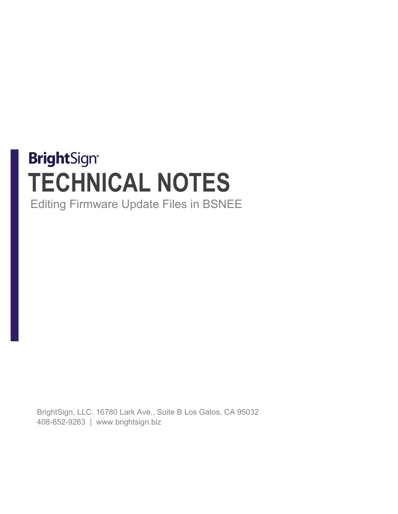# **BrightSign® TECHNICAL NOTES** Editing Firmware Update Files in BSNEE

BrightSign, LLC. 16780 Lark Ave., Suite B Los Gatos, CA 95032 408-852-9263 | www.brightsign.biz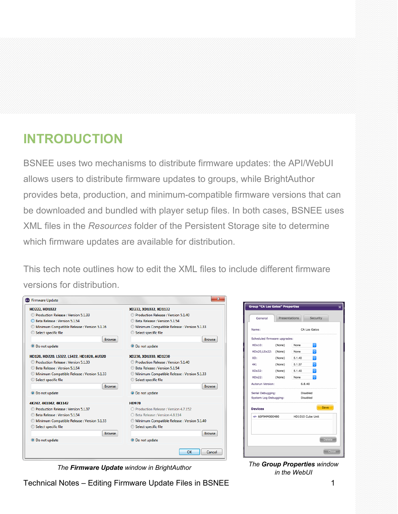## **INTRODUCTION**

BSNEE uses two mechanisms to distribute firmware updates: the API/WebUI allows users to distribute firmware updates to groups, while BrightAuthor provides beta, production, and minimum-compatible firmware versions that can be downloaded and bundled with player setup files. In both cases, BSNEE uses XML files in the *Resources* folder of the Persistent Storage site to determine which firmware updates are available for distribution.

This tech note outlines how to edit the XML files to include different firmware versions for distribution.

| <b>HD222. HD1022</b>                        | XD232. XD1032. XD1132                       |  |  |
|---------------------------------------------|---------------------------------------------|--|--|
| Production Release: Version 5.1.33          | Production Release: Version 5.1.40          |  |  |
| Beta Release : Version 5.1.54               | Beta Release : Version 5.1.54               |  |  |
| Minimum Compatible Release: Version 5.1.16  | Minimum Compatible Release: Version 5.1.33  |  |  |
| Select specific file                        | Select specific file                        |  |  |
| <b>Browse</b>                               | <b>Browse</b>                               |  |  |
| <b>O</b> Do not update                      | <b>O</b> Do not update                      |  |  |
| HD120, HD220, LS322, LS422, HD1020, AU320   | XD230, XD1030, XD1230                       |  |  |
| <b>Production Release: Version 5.1.33</b>   | Production Release : Version 5.1.40         |  |  |
| <b>Beta Release: Version 5.1.54</b>         | Beta Release: Version 5.1.54                |  |  |
| Minimum Compatible Release: Version 5.1.33  | Minimum Compatible Release: Version 5.1.33  |  |  |
| Select specific file                        | Select specific file                        |  |  |
| <b>Browse</b>                               | <b>Browse</b>                               |  |  |
| <b>O</b> Do not update                      | <b>O</b> Do not update                      |  |  |
| 4K242, 4K1042, 4K1142                       | <b>HD970</b>                                |  |  |
| Production Release: Version 5.1.37          | Production Release: Version 4.7.152         |  |  |
| Beta Release : Version 5.1.54               | Beta Release: Version 4.8.114               |  |  |
| Minimum Compatible Release : Version 5.1.33 | Minimum Compatible Release : Version 5.1.40 |  |  |
| Select specific file                        | Select specific file                        |  |  |
| <b>Browse</b>                               | <b>Browse</b>                               |  |  |
| <b>O</b> Do not update                      | <b>O</b> Do not update                      |  |  |

| General                      | Presentations |        | Security         |       |
|------------------------------|---------------|--------|------------------|-------|
| Name:                        | CA Los Gatos  |        |                  |       |
| Scheduled firmware upgrades: |               |        |                  |       |
| <b>HDx10:</b>                | (None)        | None   | $\Diamond$       |       |
| HDx20,LSx22:                 | (None)        | None   | $\Diamond$       |       |
| XD:                          | (None)        | 5.1.40 | $\Diamond$       |       |
| 4K:                          | (None)        | 5.1.37 | $\Diamond$       |       |
| XDX32:                       | (None)        | 5.1.40 | $\Diamond$       |       |
| HDx22:                       | (None)        | None   | $\Diamond$       |       |
| Autorun Version:             |               |        | 6.8.40           |       |
| Serial Debugging:            |               |        | Disabled         |       |
| System Log Debugging:        |               |        | Disabled         |       |
| <b>Devices</b>               |               |        | Save             |       |
| $-60F94M000480$              |               |        | HD1010 Cube Unit |       |
|                              |               |        |                  |       |
|                              |               |        | <b>Delete</b>    |       |
|                              |               |        |                  | Close |

*The Firmware Update window in BrightAuthor The Group Properties window* 

Technical Notes – Editing Firmware Update Files in BSNEE 1

*in the WebUI*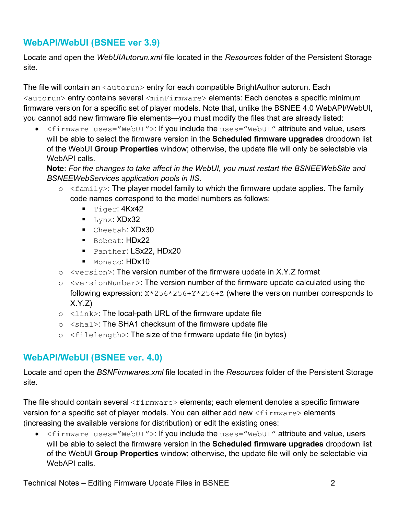#### **WebAPI/WebUI (BSNEE ver 3.9)**

Locate and open the *WebUIAutorun.xml* file located in the *Resources* folder of the Persistent Storage site.

The file will contain an  $\langle \text{autorum} \rangle$  entry for each compatible BrightAuthor autorun. Each <autorun> entry contains several <minFirmware> elements: Each denotes a specific minimum firmware version for a specific set of player models. Note that, unlike the BSNEE 4.0 WebAPI/WebUI, you cannot add new firmware file elements—you must modify the files that are already listed:

• <firmware uses="WebUI">: If you include the uses="WebUI" attribute and value, users will be able to select the firmware version in the **Scheduled firmware upgrades** dropdown list of the WebUI **Group Properties** window; otherwise, the update file will only be selectable via WebAPI calls.

**Note**: *For the changes to take affect in the WebUI, you must restart the BSNEEWebSite and BSNEEWebServices application pools in IIS.*

- $\circ$   $\leq$  family>: The player model family to which the firmware update applies. The family code names correspond to the model numbers as follows:
	- $\blacksquare$  Tiger:  $4$ Kx42
	- $\blacksquare$  Lynx: XDx32
	- Cheetah: XDx30
	- Bobcat: HDx22
	- Panther: LSx22, HDx20
	- Monaco: HDx10
- o <version>: The version number of the firmware update in X.Y.Z format
- o <versionNumber>: The version number of the firmware update calculated using the following expression:  $X*256*256+Y*256+Z$  (where the version number corresponds to X.Y.Z)
- $\circ$  <link>: The local-path URL of the firmware update file
- o <sha1>: The SHA1 checksum of the firmware update file
- $\circ$   $\leq$  filelength>: The size of the firmware update file (in bytes)

#### **WebAPI/WebUI (BSNEE ver. 4.0)**

Locate and open the *BSNFirmwares.xml* file located in the *Resources* folder of the Persistent Storage site.

The file should contain several  $\langle$ firmware> elements; each element denotes a specific firmware version for a specific set of player models. You can either add new <firmware> elements (increasing the available versions for distribution) or edit the existing ones:

• <firmware uses="WebUI">: If you include the uses="WebUI" attribute and value, users will be able to select the firmware version in the **Scheduled firmware upgrades** dropdown list of the WebUI **Group Properties** window; otherwise, the update file will only be selectable via WebAPI calls.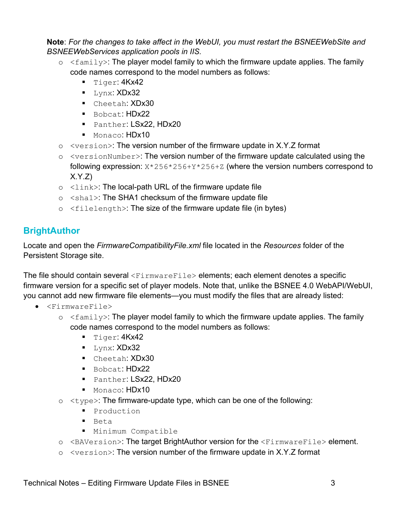**Note**: *For the changes to take affect in the WebUI, you must restart the BSNEEWebSite and BSNEEWebServices application pools in IIS.*

- $\circ$  <family>: The player model family to which the firmware update applies. The family code names correspond to the model numbers as follows:
	- Tiger: 4Kx42
	- Lynx: XDx32
	- Cheetah: XDx30
	- Bobcat: HDx22
	- Panther: LSx22, HDx20
	- Monaco: HDx10
- o <version>: The version number of the firmware update in X.Y.Z format
- $\circ$   $\leq$  versionNumber>: The version number of the firmware update calculated using the following expression:  $X*256*256+Y*256+Z$  (where the version numbers correspond to  $X.Y.Z$
- $\circ$   $\leq$  link>: The local-path URL of the firmware update file
- o <sha1>: The SHA1 checksum of the firmware update file
- $\circ$   $\leq$  filelength>: The size of the firmware update file (in bytes)

### **BrightAuthor**

Locate and open the *FirmwareCompatibilityFile.xml* file located in the *Resources* folder of the Persistent Storage site.

The file should contain several  $\langle$ FirmwareFile> elements; each element denotes a specific firmware version for a specific set of player models. Note that, unlike the BSNEE 4.0 WebAPI/WebUI, you cannot add new firmware file elements—you must modify the files that are already listed:

- <FirmwareFile>
	- $\circ$   $\leq$  family>: The player model family to which the firmware update applies. The family code names correspond to the model numbers as follows:
		- $\blacksquare$  Tiger:  $4$ Kx42
		- $\blacksquare$  Lynx: XDx32
		- Cheetah: XDx30
		- Bobcat: HDx22
		- Panther: LSx22, HDx20
		- Monaco: HDx10
	- $\circ$   $\lt$ type $\gt$ : The firmware-update type, which can be one of the following:
		- **Production**
		- Beta
		- **Minimum Compatible**
	- o <BAVersion>: The target BrightAuthor version for the <FirmwareFile> element.
	- o <version>: The version number of the firmware update in X.Y.Z format